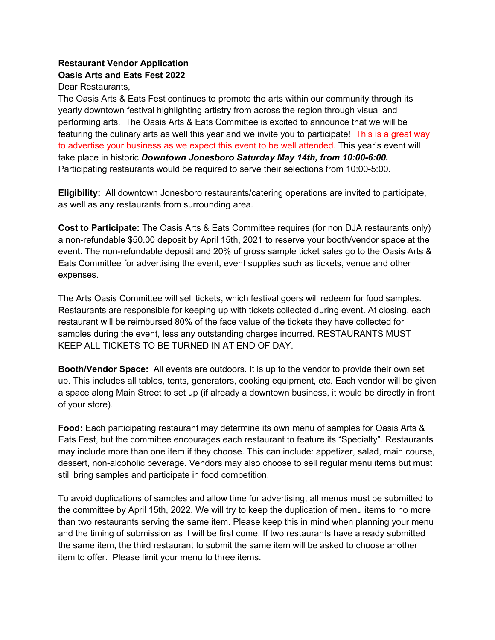## **Restaurant Vendor Application Oasis Arts and Eats Fest 2022**

Dear Restaurants,

The Oasis Arts & Eats Fest continues to promote the arts within our community through its yearly downtown festival highlighting artistry from across the region through visual and performing arts. The Oasis Arts & Eats Committee is excited to announce that we will be featuring the culinary arts as well this year and we invite you to participate! This is a great way to advertise your business as we expect this event to be well attended. This year's event will take place in historic *Downtown Jonesboro Saturday May 14th, from 10:00-6:00.*  Participating restaurants would be required to serve their selections from 10:00-5:00.

**Eligibility:** All downtown Jonesboro restaurants/catering operations are invited to participate, as well as any restaurants from surrounding area.

**Cost to Participate:** The Oasis Arts & Eats Committee requires (for non DJA restaurants only) a non-refundable \$50.00 deposit by April 15th, 2021 to reserve your booth/vendor space at the event. The non-refundable deposit and 20% of gross sample ticket sales go to the Oasis Arts & Eats Committee for advertising the event, event supplies such as tickets, venue and other expenses.

The Arts Oasis Committee will sell tickets, which festival goers will redeem for food samples. Restaurants are responsible for keeping up with tickets collected during event. At closing, each restaurant will be reimbursed 80% of the face value of the tickets they have collected for samples during the event, less any outstanding charges incurred. RESTAURANTS MUST KEEP ALL TICKETS TO BE TURNED IN AT END OF DAY.

**Booth/Vendor Space:** All events are outdoors. It is up to the vendor to provide their own set up. This includes all tables, tents, generators, cooking equipment, etc. Each vendor will be given a space along Main Street to set up (if already a downtown business, it would be directly in front of your store).

**Food:** Each participating restaurant may determine its own menu of samples for Oasis Arts & Eats Fest, but the committee encourages each restaurant to feature its "Specialty". Restaurants may include more than one item if they choose. This can include: appetizer, salad, main course, dessert, non-alcoholic beverage. Vendors may also choose to sell regular menu items but must still bring samples and participate in food competition.

To avoid duplications of samples and allow time for advertising, all menus must be submitted to the committee by April 15th, 2022. We will try to keep the duplication of menu items to no more than two restaurants serving the same item. Please keep this in mind when planning your menu and the timing of submission as it will be first come. If two restaurants have already submitted the same item, the third restaurant to submit the same item will be asked to choose another item to offer. Please limit your menu to three items.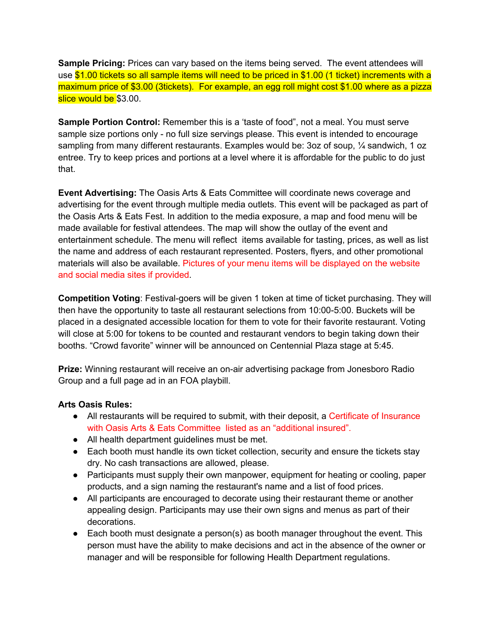**Sample Pricing:** Prices can vary based on the items being served. The event attendees will use \$1.00 tickets so all sample items will need to be priced in \$1.00 (1 ticket) increments with a maximum price of \$3.00 (3tickets). For example, an egg roll might cost \$1.00 where as a pizza slice would be \$3.00.

**Sample Portion Control:** Remember this is a 'taste of food", not a meal. You must serve sample size portions only - no full size servings please. This event is intended to encourage sampling from many different restaurants. Examples would be: 3oz of soup, 1/4 sandwich, 1 oz entree. Try to keep prices and portions at a level where it is affordable for the public to do just that.

**Event Advertising:** The Oasis Arts & Eats Committee will coordinate news coverage and advertising for the event through multiple media outlets. This event will be packaged as part of the Oasis Arts & Eats Fest. In addition to the media exposure, a map and food menu will be made available for festival attendees. The map will show the outlay of the event and entertainment schedule. The menu will reflect items available for tasting, prices, as well as list the name and address of each restaurant represented. Posters, flyers, and other promotional materials will also be available. Pictures of your menu items will be displayed on the website and social media sites if provided.

**Competition Voting**: Festival-goers will be given 1 token at time of ticket purchasing. They will then have the opportunity to taste all restaurant selections from 10:00-5:00. Buckets will be placed in a designated accessible location for them to vote for their favorite restaurant. Voting will close at 5:00 for tokens to be counted and restaurant vendors to begin taking down their booths. "Crowd favorite" winner will be announced on Centennial Plaza stage at 5:45.

**Prize:** Winning restaurant will receive an on-air advertising package from Jonesboro Radio Group and a full page ad in an FOA playbill.

## **Arts Oasis Rules:**

- All restaurants will be required to submit, with their deposit, a Certificate of Insurance with Oasis Arts & Eats Committee listed as an "additional insured".
- All health department guidelines must be met.
- Each booth must handle its own ticket collection, security and ensure the tickets stay dry. No cash transactions are allowed, please.
- Participants must supply their own manpower, equipment for heating or cooling, paper products, and a sign naming the restaurant's name and a list of food prices.
- All participants are encouraged to decorate using their restaurant theme or another appealing design. Participants may use their own signs and menus as part of their decorations.
- Each booth must designate a person(s) as booth manager throughout the event. This person must have the ability to make decisions and act in the absence of the owner or manager and will be responsible for following Health Department regulations.